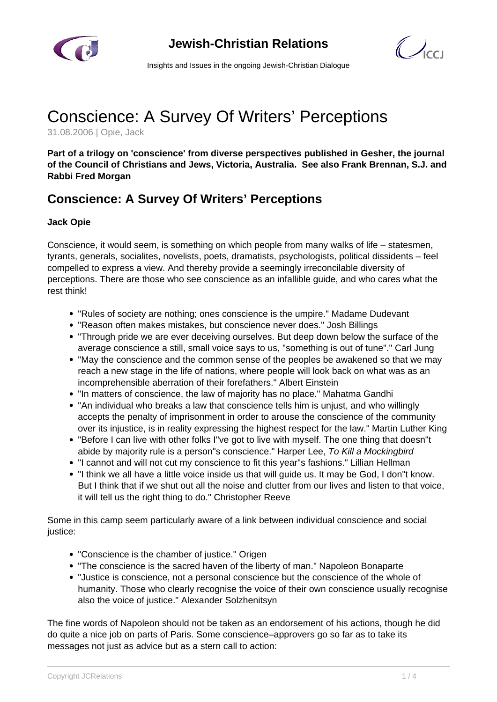



Insights and Issues in the ongoing Jewish-Christian Dialogue

## Conscience: A Survey Of Writers' Perceptions

31.08.2006 | Opie, Jack

**Part of a trilogy on 'conscience' from diverse perspectives published in Gesher, the journal of the Council of Christians and Jews, Victoria, Australia. See also Frank Brennan, S.J. and Rabbi Fred Morgan**

## **Conscience: A Survey Of Writers' Perceptions**

## **Jack Opie**

Conscience, it would seem, is something on which people from many walks of life – statesmen, tyrants, generals, socialites, novelists, poets, dramatists, psychologists, political dissidents – feel compelled to express a view. And thereby provide a seemingly irreconcilable diversity of perceptions. There are those who see conscience as an infallible guide, and who cares what the rest think!

- "Rules of society are nothing; ones conscience is the umpire." Madame Dudevant
- "Reason often makes mistakes, but conscience never does." Josh Billings
- "Through pride we are ever deceiving ourselves. But deep down below the surface of the average conscience a still, small voice says to us, "something is out of tune"." Carl Jung
- "May the conscience and the common sense of the peoples be awakened so that we may reach a new stage in the life of nations, where people will look back on what was as an incomprehensible aberration of their forefathers." Albert Einstein
- "In matters of conscience, the law of majority has no place." Mahatma Gandhi
- "An individual who breaks a law that conscience tells him is unjust, and who willingly accepts the penalty of imprisonment in order to arouse the conscience of the community over its injustice, is in reality expressing the highest respect for the law." Martin Luther King
- "Before I can live with other folks I"ve got to live with myself. The one thing that doesn"t abide by majority rule is a person"s conscience." Harper Lee, To Kill a Mockingbird
- "I cannot and will not cut my conscience to fit this year"s fashions." Lillian Hellman
- "I think we all have a little voice inside us that will guide us. It may be God, I don"t know. But I think that if we shut out all the noise and clutter from our lives and listen to that voice, it will tell us the right thing to do." Christopher Reeve

Some in this camp seem particularly aware of a link between individual conscience and social justice:

- "Conscience is the chamber of justice." Origen
- "The conscience is the sacred haven of the liberty of man." Napoleon Bonaparte
- "Justice is conscience, not a personal conscience but the conscience of the whole of humanity. Those who clearly recognise the voice of their own conscience usually recognise also the voice of justice." Alexander Solzhenitsyn

The fine words of Napoleon should not be taken as an endorsement of his actions, though he did do quite a nice job on parts of Paris. Some conscience–approvers go so far as to take its messages not just as advice but as a stern call to action: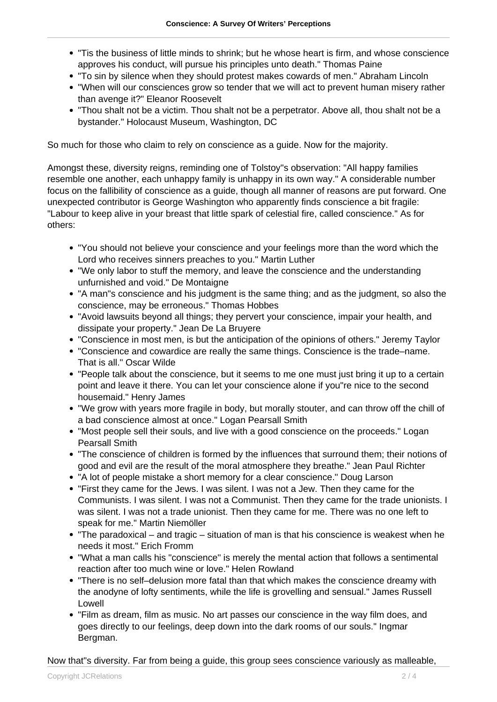- "Tis the business of little minds to shrink; but he whose heart is firm, and whose conscience approves his conduct, will pursue his principles unto death." Thomas Paine
- "To sin by silence when they should protest makes cowards of men." Abraham Lincoln
- "When will our consciences grow so tender that we will act to prevent human misery rather than avenge it?" Eleanor Roosevelt
- "Thou shalt not be a victim. Thou shalt not be a perpetrator. Above all, thou shalt not be a bystander." Holocaust Museum, Washington, DC

So much for those who claim to rely on conscience as a guide. Now for the majority.

Amongst these, diversity reigns, reminding one of Tolstoy"s observation: "All happy families resemble one another, each unhappy family is unhappy in its own way." A considerable number focus on the fallibility of conscience as a guide, though all manner of reasons are put forward. One unexpected contributor is George Washington who apparently finds conscience a bit fragile: "Labour to keep alive in your breast that little spark of celestial fire, called conscience." As for others:

- "You should not believe your conscience and your feelings more than the word which the Lord who receives sinners preaches to you." Martin Luther
- "We only labor to stuff the memory, and leave the conscience and the understanding unfurnished and void." De Montaigne
- "A man"s conscience and his judgment is the same thing; and as the judgment, so also the conscience, may be erroneous." Thomas Hobbes
- "Avoid lawsuits beyond all things; they pervert your conscience, impair your health, and dissipate your property." Jean De La Bruyere
- "Conscience in most men, is but the anticipation of the opinions of others." Jeremy Taylor
- "Conscience and cowardice are really the same things. Conscience is the trade–name. That is all." Oscar Wilde
- "People talk about the conscience, but it seems to me one must just bring it up to a certain point and leave it there. You can let your conscience alone if you"re nice to the second housemaid." Henry James
- "We grow with years more fragile in body, but morally stouter, and can throw off the chill of a bad conscience almost at once." Logan Pearsall Smith
- "Most people sell their souls, and live with a good conscience on the proceeds." Logan Pearsall Smith
- "The conscience of children is formed by the influences that surround them; their notions of good and evil are the result of the moral atmosphere they breathe." Jean Paul Richter
- "A lot of people mistake a short memory for a clear conscience." Doug Larson
- "First they came for the Jews. I was silent. I was not a Jew. Then they came for the Communists. I was silent. I was not a Communist. Then they came for the trade unionists. I was silent. I was not a trade unionist. Then they came for me. There was no one left to speak for me." Martin Niemöller
- "The paradoxical and tragic situation of man is that his conscience is weakest when he needs it most." Erich Fromm
- "What a man calls his "conscience" is merely the mental action that follows a sentimental reaction after too much wine or love." Helen Rowland
- "There is no self–delusion more fatal than that which makes the conscience dreamy with the anodyne of lofty sentiments, while the life is grovelling and sensual." James Russell Lowell
- "Film as dream, film as music. No art passes our conscience in the way film does, and goes directly to our feelings, deep down into the dark rooms of our souls." Ingmar Bergman.

Now that"s diversity. Far from being a guide, this group sees conscience variously as malleable,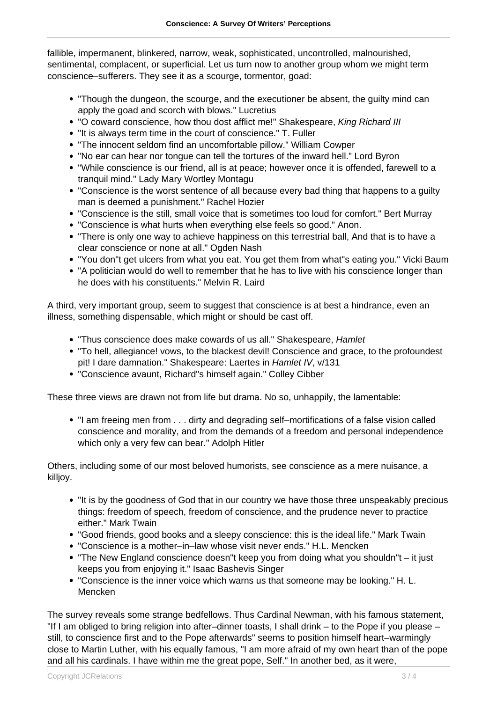fallible, impermanent, blinkered, narrow, weak, sophisticated, uncontrolled, malnourished, sentimental, complacent, or superficial. Let us turn now to another group whom we might term conscience–sufferers. They see it as a scourge, tormentor, goad:

- "Though the dungeon, the scourge, and the executioner be absent, the guilty mind can apply the goad and scorch with blows." Lucretius
- . "O coward conscience, how thou dost afflict me!" Shakespeare, King Richard III
- "It is always term time in the court of conscience." T. Fuller
- "The innocent seldom find an uncomfortable pillow." William Cowper
- "No ear can hear nor tongue can tell the tortures of the inward hell." Lord Byron
- "While conscience is our friend, all is at peace; however once it is offended, farewell to a tranquil mind." Lady Mary Wortley Montagu
- "Conscience is the worst sentence of all because every bad thing that happens to a guilty man is deemed a punishment." Rachel Hozier
- "Conscience is the still, small voice that is sometimes too loud for comfort." Bert Murray
- "Conscience is what hurts when everything else feels so good." Anon.
- "There is only one way to achieve happiness on this terrestrial ball, And that is to have a clear conscience or none at all." Ogden Nash
- "You don"t get ulcers from what you eat. You get them from what"s eating you." Vicki Baum
- "A politician would do well to remember that he has to live with his conscience longer than he does with his constituents." Melvin R. Laird

A third, very important group, seem to suggest that conscience is at best a hindrance, even an illness, something dispensable, which might or should be cast off.

- "Thus conscience does make cowards of us all." Shakespeare, Hamlet
- "To hell, allegiance! vows, to the blackest devil! Conscience and grace, to the profoundest pit! I dare damnation." Shakespeare: Laertes in Hamlet IV, v/131
- "Conscience avaunt, Richard"s himself again." Colley Cibber

These three views are drawn not from life but drama. No so, unhappily, the lamentable:

"I am freeing men from . . . dirty and degrading self–mortifications of a false vision called conscience and morality, and from the demands of a freedom and personal independence which only a very few can bear." Adolph Hitler

Others, including some of our most beloved humorists, see conscience as a mere nuisance, a killjoy.

- "It is by the goodness of God that in our country we have those three unspeakably precious things: freedom of speech, freedom of conscience, and the prudence never to practice either." Mark Twain
- "Good friends, good books and a sleepy conscience: this is the ideal life." Mark Twain
- "Conscience is a mother–in–law whose visit never ends." H.L. Mencken
- "The New England conscience doesn"t keep you from doing what you shouldn"t it just keeps you from enjoying it." Isaac Bashevis Singer
- "Conscience is the inner voice which warns us that someone may be looking." H. L. Mencken

The survey reveals some strange bedfellows. Thus Cardinal Newman, with his famous statement, "If I am obliged to bring religion into after–dinner toasts, I shall drink – to the Pope if you please – still, to conscience first and to the Pope afterwards" seems to position himself heart–warmingly close to Martin Luther, with his equally famous, "I am more afraid of my own heart than of the pope and all his cardinals. I have within me the great pope, Self." In another bed, as it were,